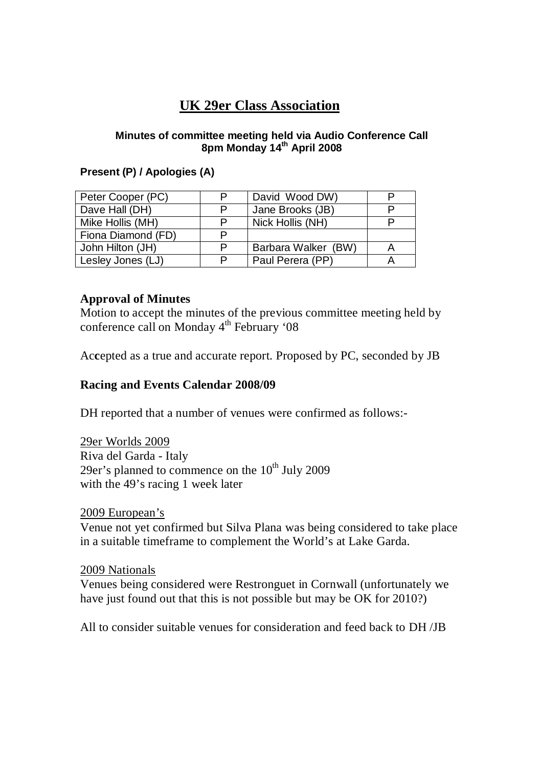# **UK 29er Class Association**

#### **Minutes of committee meeting held via Audio Conference Call 8pm Monday 14th April 2008**

### **Present (P) / Apologies (A)**

| Peter Cooper (PC)  | P | David Wood DW)      |  |
|--------------------|---|---------------------|--|
| Dave Hall (DH)     | P | Jane Brooks (JB)    |  |
| Mike Hollis (MH)   | P | Nick Hollis (NH)    |  |
| Fiona Diamond (FD) | P |                     |  |
| John Hilton (JH)   | P | Barbara Walker (BW) |  |
| Lesley Jones (LJ)  | P | Paul Perera (PP)    |  |

### **Approval of Minutes**

Motion to accept the minutes of the previous committee meeting held by conference call on Monday  $4<sup>th</sup>$  February '08

Ac**c**epted as a true and accurate report. Proposed by PC, seconded by JB

### **Racing and Events Calendar 2008/09**

DH reported that a number of venues were confirmed as follows:-

29er Worlds 2009 Riva del Garda - Italy 29er's planned to commence on the  $10^{th}$  July 2009 with the 49's racing 1 week later

#### 2009 European's

Venue not yet confirmed but Silva Plana was being considered to take place in a suitable timeframe to complement the World's at Lake Garda.

#### 2009 Nationals

Venues being considered were Restronguet in Cornwall (unfortunately we have just found out that this is not possible but may be OK for 2010?)

All to consider suitable venues for consideration and feed back to DH /JB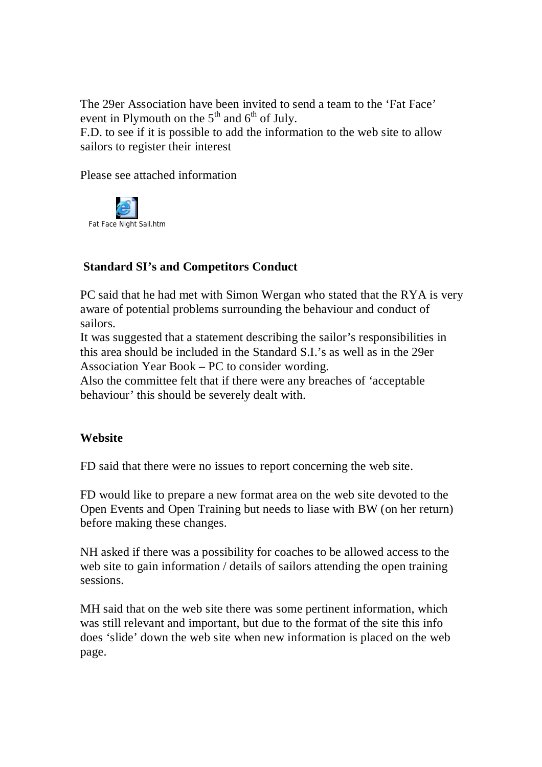The 29er Association have been invited to send a team to the 'Fat Face' event in Plymouth on the  $5<sup>th</sup>$  and  $6<sup>th</sup>$  of July.

F.D. to see if it is possible to add the information to the web site to allow sailors to register their interest

Please see attached information



# **Standard SI's and Competitors Conduct**

PC said that he had met with Simon Wergan who stated that the RYA is very aware of potential problems surrounding the behaviour and conduct of sailors.

It was suggested that a statement describing the sailor's responsibilities in this area should be included in the Standard S.I.'s as well as in the 29er Association Year Book – PC to consider wording.

Also the committee felt that if there were any breaches of 'acceptable behaviour' this should be severely dealt with.

## **Website**

FD said that there were no issues to report concerning the web site.

FD would like to prepare a new format area on the web site devoted to the Open Events and Open Training but needs to liase with BW (on her return) before making these changes.

NH asked if there was a possibility for coaches to be allowed access to the web site to gain information / details of sailors attending the open training sessions.

MH said that on the web site there was some pertinent information, which was still relevant and important, but due to the format of the site this info does 'slide' down the web site when new information is placed on the web page.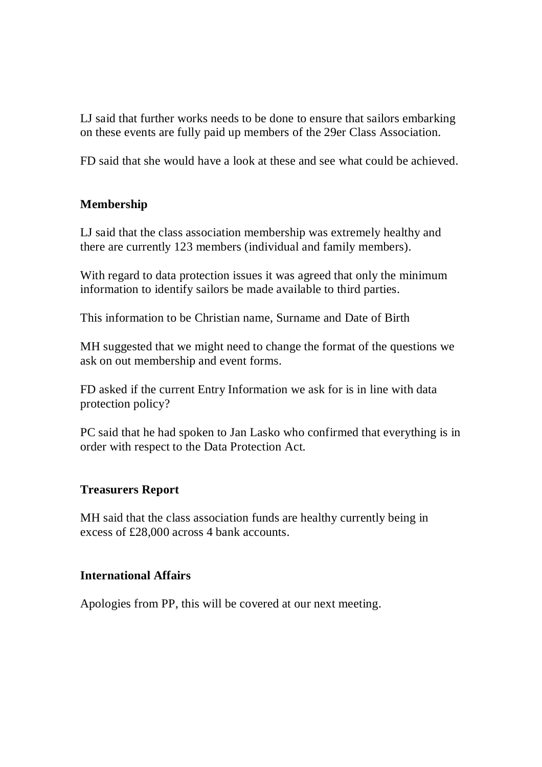LJ said that further works needs to be done to ensure that sailors embarking on these events are fully paid up members of the 29er Class Association.

FD said that she would have a look at these and see what could be achieved.

# **Membership**

LJ said that the class association membership was extremely healthy and there are currently 123 members (individual and family members).

With regard to data protection issues it was agreed that only the minimum information to identify sailors be made available to third parties.

This information to be Christian name, Surname and Date of Birth

MH suggested that we might need to change the format of the questions we ask on out membership and event forms.

FD asked if the current Entry Information we ask for is in line with data protection policy?

PC said that he had spoken to Jan Lasko who confirmed that everything is in order with respect to the Data Protection Act.

## **Treasurers Report**

MH said that the class association funds are healthy currently being in excess of £28,000 across 4 bank accounts.

## **International Affairs**

Apologies from PP, this will be covered at our next meeting.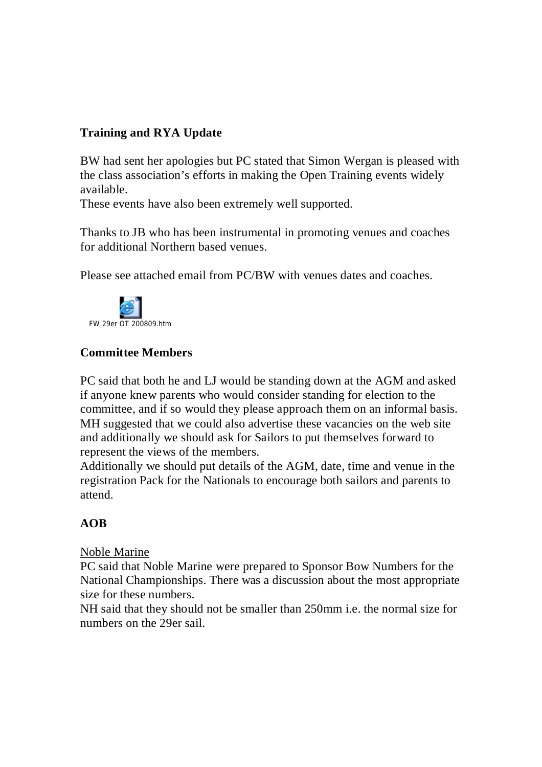# **Training and RYA Update**

BW had sent her apologies but PC stated that Simon Wergan is pleased with the class association's efforts in making the Open Training events widely available.

These events have also been extremely well supported.

Thanks to JB who has been instrumental in promoting venues and coaches for additional Northern based venues.

Please see attached email from PC/BW with venues dates and coaches.



# **Committee Members**

PC said that both he and LJ would be standing down at the AGM and asked if anyone knew parents who would consider standing for election to the committee, and if so would they please approach them on an informal basis. MH suggested that we could also advertise these vacancies on the web site and additionally we should ask for Sailors to put themselves forward to represent the views of the members.

Additionally we should put details of the AGM, date, time and venue in the registration Pack for the Nationals to encourage both sailors and parents to attend.

## **AOB**

#### Noble Marine

PC said that Noble Marine were prepared to Sponsor Bow Numbers for the National Championships. There was a discussion about the most appropriate size for these numbers.

NH said that they should not be smaller than 250mm i.e. the normal size for numbers on the 29er sail.